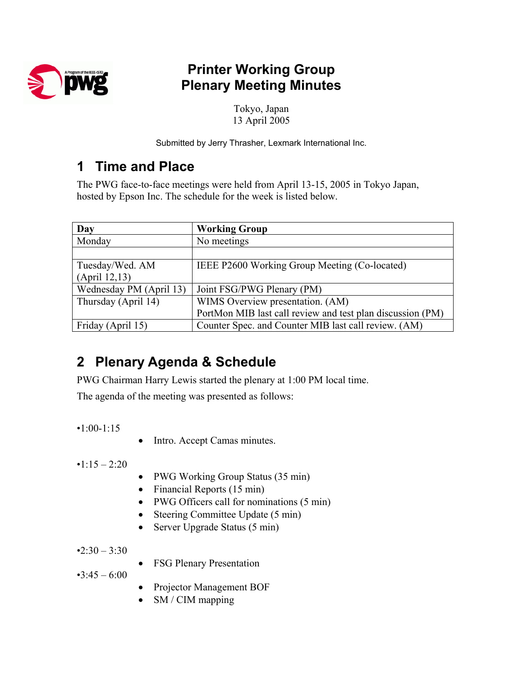

## **Printer Working Group Plenary Meeting Minutes**

Tokyo, Japan 13 April 2005

Submitted by Jerry Thrasher, Lexmark International Inc.

## **1 Time and Place**

The PWG face-to-face meetings were held from April 13-15, 2005 in Tokyo Japan, hosted by Epson Inc. The schedule for the week is listed below.

| Day                     | <b>Working Group</b>                                       |
|-------------------------|------------------------------------------------------------|
| Monday                  | No meetings                                                |
|                         |                                                            |
| Tuesday/Wed. AM         | IEEE P2600 Working Group Meeting (Co-located)              |
| (April 12, 13)          |                                                            |
| Wednesday PM (April 13) | Joint FSG/PWG Plenary (PM)                                 |
| Thursday (April 14)     | WIMS Overview presentation. (AM)                           |
|                         | PortMon MIB last call review and test plan discussion (PM) |
| Friday (April 15)       | Counter Spec. and Counter MIB last call review. (AM)       |

# **2 Plenary Agenda & Schedule**

PWG Chairman Harry Lewis started the plenary at 1:00 PM local time.

The agenda of the meeting was presented as follows:

•1:00-1:15

• Intro. Accept Camas minutes.

 $\cdot$ 1:15 – 2:20

- PWG Working Group Status (35 min)
- Financial Reports (15 min)
- PWG Officers call for nominations (5 min)
- Steering Committee Update (5 min)
- Server Upgrade Status (5 min)

 $•2:30 - 3:30$ 

• FSG Plenary Presentation

 $•3:45 - 6:00$ 

- Projector Management BOF
- SM / CIM mapping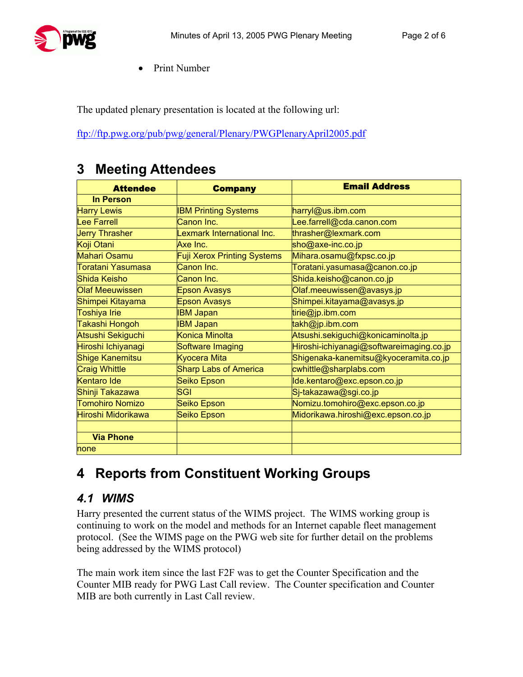

• Print Number

The updated plenary presentation is located at the following url:

<ftp://ftp.pwg.org/pub/pwg/general/Plenary/PWGPlenaryApril2005.pdf>

### **3 Meeting Attendees**

| <b>Attendee</b>        | <b>Company</b>                     | <b>Email Address</b>                     |
|------------------------|------------------------------------|------------------------------------------|
| <b>In Person</b>       |                                    |                                          |
| <b>Harry Lewis</b>     | <b>IBM Printing Systems</b>        | harryl@us.ibm.com                        |
| <b>Lee Farrell</b>     | Canon Inc.                         | .ee.farrell@cda.canon.com                |
| <b>Jerry Thrasher</b>  | Lexmark International Inc.         | thrasher@lexmark.com                     |
| Koji Otani             | Axe Inc.                           | sho@axe-inc.co.jp                        |
| <b>Mahari Osamu</b>    | <b>Fuji Xerox Printing Systems</b> | Mihara.osamu@fxpsc.co.jp                 |
| Toratani Yasumasa      | Canon Inc.                         | Toratani.yasumasa@canon.co.jp            |
| Shida Keisho           | Canon Inc.                         | Shida.keisho@canon.co.jp                 |
| <b>Olaf Meeuwissen</b> | <b>Epson Avasys</b>                | Olaf.meeuwissen@avasys.jp                |
| Shimpei Kitayama       | <b>Epson Avasys</b>                | Shimpei.kitayama@avasys.jp               |
| <b>Toshiya Irie</b>    | <b>IBM Japan</b>                   | tirie@jp.ibm.com                         |
| Takashi Hongoh         | <b>IBM Japan</b>                   | takh@jp.ibm.com                          |
| Atsushi Sekiguchi      | Konica Minolta                     | Atsushi.sekiguchi@konicaminolta.jp       |
| Hiroshi Ichiyanagi     | Software Imaging                   | Hiroshi-ichiyanagi@softwareimaging.co.jp |
| <b>Shige Kanemitsu</b> | <b>Kyocera Mita</b>                | Shigenaka-kanemitsu@kyoceramita.co.jp    |
| <b>Craig Whittle</b>   | <b>Sharp Labs of America</b>       | cwhittle@sharplabs.com                   |
| <b>Kentaro Ide</b>     | Seiko Epson                        | Ide.kentaro@exc.epson.co.jp              |
| Shinji Takazawa        | SGI                                | Sj-takazawa@sgi.co.jp                    |
| <b>Tomohiro Nomizo</b> | Seiko Epson                        | Nomizu.tomohiro@exc.epson.co.jp          |
| Hiroshi Midorikawa     | Seiko Epson                        | Midorikawa.hiroshi@exc.epson.co.jp       |
| <b>Via Phone</b>       |                                    |                                          |
| none                   |                                    |                                          |

### **4 Reports from Constituent Working Groups**

#### *4.1 WIMS*

Harry presented the current status of the WIMS project. The WIMS working group is continuing to work on the model and methods for an Internet capable fleet management protocol. (See the WIMS page on the PWG web site for further detail on the problems being addressed by the WIMS protocol)

The main work item since the last F2F was to get the Counter Specification and the Counter MIB ready for PWG Last Call review. The Counter specification and Counter MIB are both currently in Last Call review.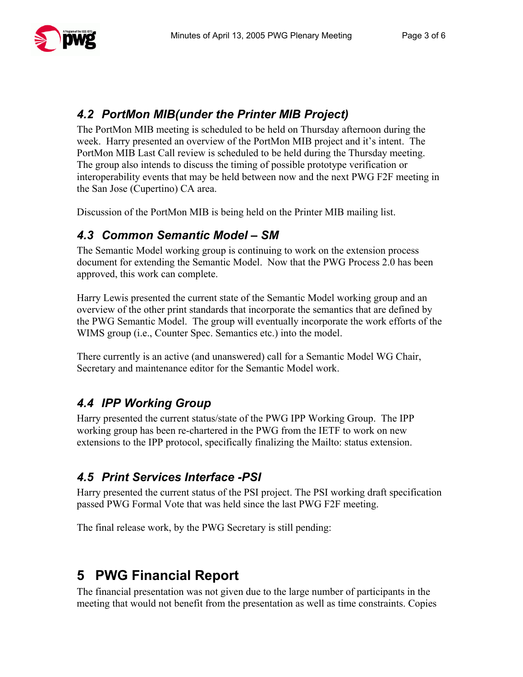#### *4.2 PortMon MIB(under the Printer MIB Project)*

The PortMon MIB meeting is scheduled to be held on Thursday afternoon during the week. Harry presented an overview of the PortMon MIB project and it's intent. The PortMon MIB Last Call review is scheduled to be held during the Thursday meeting. The group also intends to discuss the timing of possible prototype verification or interoperability events that may be held between now and the next PWG F2F meeting in the San Jose (Cupertino) CA area.

Discussion of the PortMon MIB is being held on the Printer MIB mailing list.

#### *4.3 Common Semantic Model – SM*

The Semantic Model working group is continuing to work on the extension process document for extending the Semantic Model. Now that the PWG Process 2.0 has been approved, this work can complete.

Harry Lewis presented the current state of the Semantic Model working group and an overview of the other print standards that incorporate the semantics that are defined by the PWG Semantic Model. The group will eventually incorporate the work efforts of the WIMS group (i.e., Counter Spec. Semantics etc.) into the model.

There currently is an active (and unanswered) call for a Semantic Model WG Chair, Secretary and maintenance editor for the Semantic Model work.

### *4.4 IPP Working Group*

Harry presented the current status/state of the PWG IPP Working Group. The IPP working group has been re-chartered in the PWG from the IETF to work on new extensions to the IPP protocol, specifically finalizing the Mailto: status extension.

#### *4.5 Print Services Interface -PSI*

Harry presented the current status of the PSI project. The PSI working draft specification passed PWG Formal Vote that was held since the last PWG F2F meeting.

The final release work, by the PWG Secretary is still pending:

## **5 PWG Financial Report**

The financial presentation was not given due to the large number of participants in the meeting that would not benefit from the presentation as well as time constraints. Copies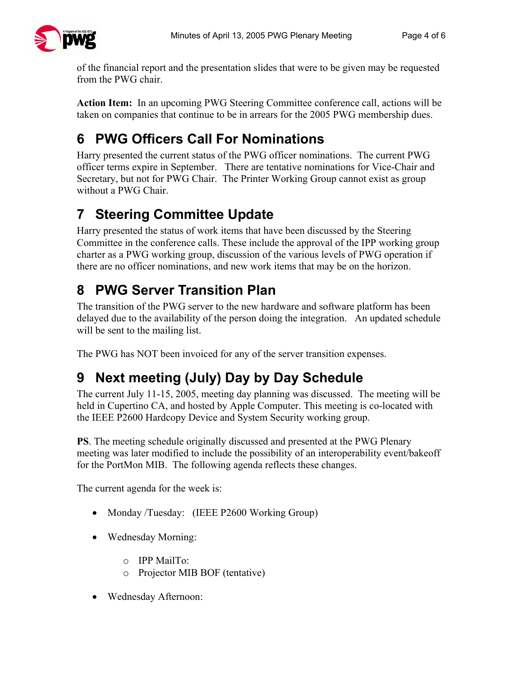

of the financial report and the presentation slides that were to be given may be requested from the PWG chair.

**Action Item:** In an upcoming PWG Steering Committee conference call, actions will be taken on companies that continue to be in arrears for the 2005 PWG membership dues.

# **6 PWG Officers Call For Nominations**

Harry presented the current status of the PWG officer nominations. The current PWG officer terms expire in September. There are tentative nominations for Vice-Chair and Secretary, but not for PWG Chair. The Printer Working Group cannot exist as group without a PWG Chair.

# **7 Steering Committee Update**

Harry presented the status of work items that have been discussed by the Steering Committee in the conference calls. These include the approval of the IPP working group charter as a PWG working group, discussion of the various levels of PWG operation if there are no officer nominations, and new work items that may be on the horizon.

## **8 PWG Server Transition Plan**

The transition of the PWG server to the new hardware and software platform has been delayed due to the availability of the person doing the integration. An updated schedule will be sent to the mailing list.

The PWG has NOT been invoiced for any of the server transition expenses.

# **9 Next meeting (July) Day by Day Schedule**

The current July 11-15, 2005, meeting day planning was discussed. The meeting will be held in Cupertino CA, and hosted by Apple Computer. This meeting is co-located with the IEEE P2600 Hardcopy Device and System Security working group.

**PS**. The meeting schedule originally discussed and presented at the PWG Plenary meeting was later modified to include the possibility of an interoperability event/bakeoff for the PortMon MIB. The following agenda reflects these changes.

The current agenda for the week is:

- Monday /Tuesday: (IEEE P2600 Working Group)
- Wednesday Morning:
	- o IPP MailTo:
	- o Projector MIB BOF (tentative)
- Wednesday Afternoon: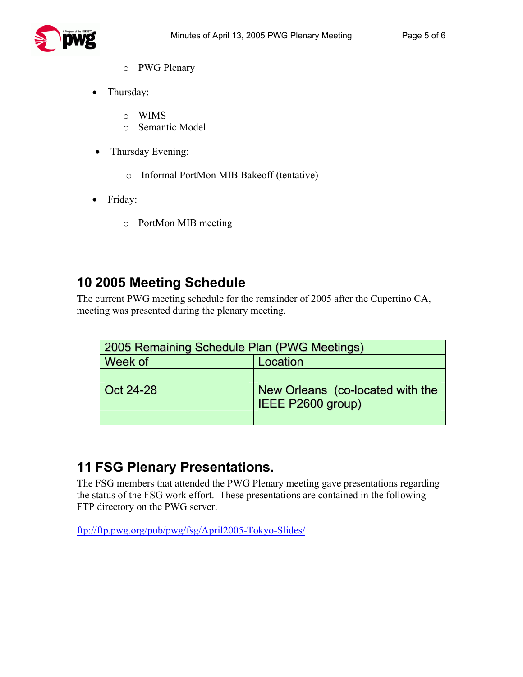

- o PWG Plenary
- Thursday:
	- o WIMS
	- o Semantic Model
- Thursday Evening:
	- o Informal PortMon MIB Bakeoff (tentative)
- Friday:
	- o PortMon MIB meeting

### **10 2005 Meeting Schedule**

The current PWG meeting schedule for the remainder of 2005 after the Cupertino CA, meeting was presented during the plenary meeting.

| 2005 Remaining Schedule Plan (PWG Meetings) |                                                       |  |
|---------------------------------------------|-------------------------------------------------------|--|
| Week of                                     | Location                                              |  |
|                                             |                                                       |  |
| Oct 24-28                                   | New Orleans (co-located with the<br>IEEE P2600 group) |  |
|                                             |                                                       |  |

### **11 FSG Plenary Presentations.**

The FSG members that attended the PWG Plenary meeting gave presentations regarding the status of the FSG work effort. These presentations are contained in the following FTP directory on the PWG server.

<ftp://ftp.pwg.org/pub/pwg/fsg/April2005-Tokyo-Slides/>